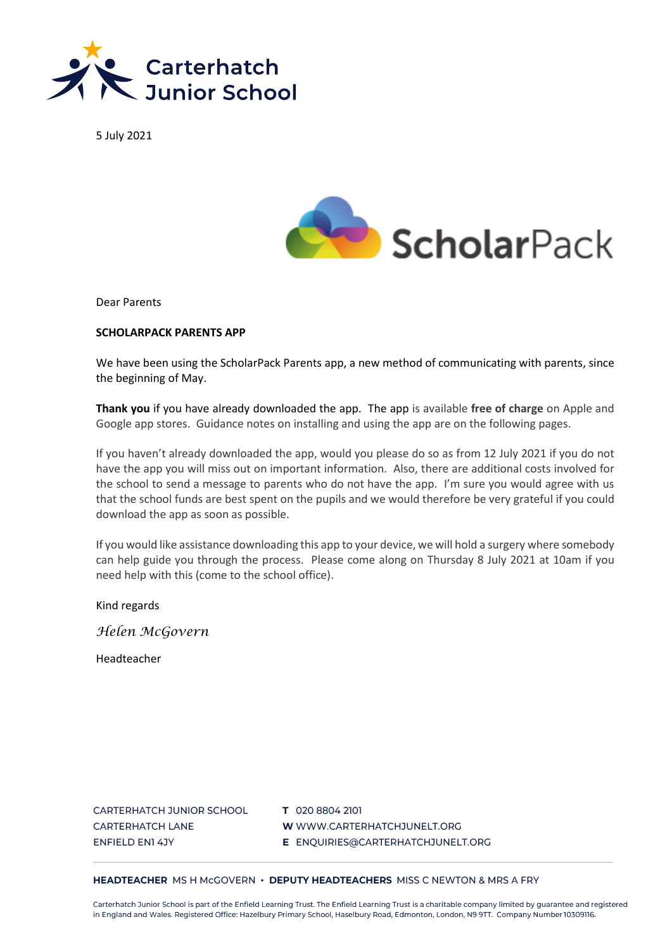

5 July 2021



Dear Parents

#### **SCHOLARPACK PARENTS APP**

We have been using the ScholarPack Parents app, a new method of communicating with parents, since the beginning of May.

**Thank you** if you have already downloaded the app. The app is available **free of charge** on Apple and Google app stores. Guidance notes on installing and using the app are on the following pages.

If you haven't already downloaded the app, would you please do so as from 12 July 2021 if you do not have the app you will miss out on important information. Also, there are additional costs involved for the school to send a message to parents who do not have the app. I'm sure you would agree with us that the school funds are best spent on the pupils and we would therefore be very grateful if you could download the app as soon as possible.

If you would like assistance downloading this app to your device, we will hold a surgery where somebody can help guide you through the process. Please come along on Thursday 8 July 2021 at 10am if you need help with this (come to the school office).

Kind regards

*Helen McGovern*

Headteacher

CARTERHATCH JUNIOR SCHOOL **CARTERHATCH LANE ENFIELD EN1 4JY** 

T 020 8804 2101 W WWW.CARTERHATCHJUNELT.ORG E ENQUIRIES@CARTERHATCHJUNELT.ORG

#### HEADTEACHER MS H McGOVERN · DEPUTY HEADTEACHERS MISS C NEWTON & MRS A FRY

Carterhatch Junior School is part of the Enfield Learning Trust. The Enfield Learning Trust is a charitable company limited by guarantee and registered in England and Wales. Registered Office: Hazelbury Primary School, Haselbury Road, Edmonton, London, N9 9TT. Company Number 10309116.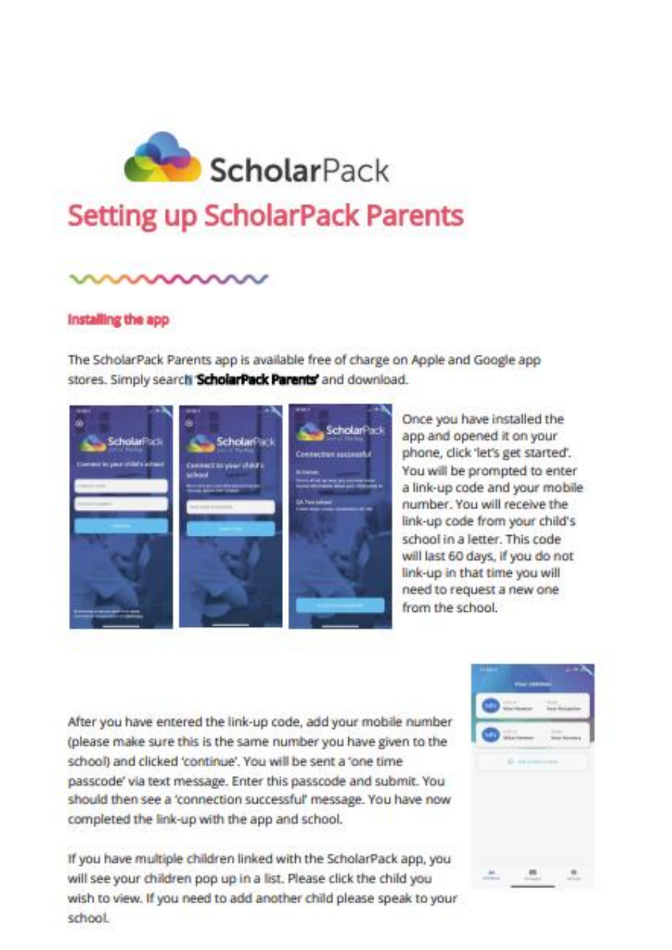

# **Setting up ScholarPack Parents**

#### Installing the app

The ScholarPack Parents app is available free of charge on Apple and Google app stores. Simply search ScholarPack Parents' and download.

ScholarPack **ScholarPack** Scholar<sup>p</sup>id

Once you have installed the app and opened it on your phone, click 'let's get started'. You will be prompted to enter a link-up code and your mobile number. You will receive the link-up code from your child's school in a letter. This code will last 60 days, if you do not link-up in that time you will need to request a new one from the school.

After you have entered the link-up code, add your mobile number (please make sure this is the same number you have given to the school) and clicked 'continue'. You will be sent a 'one time passcode' via text message. Enter this passcode and submit. You should then see a 'connection successful' message. You have now completed the link-up with the app and school.

If you have multiple children linked with the ScholarPack app, you will see your children pop up in a list. Please click the child you wish to view. If you need to add another child please speak to your school

| ł. |  |  |
|----|--|--|
|    |  |  |
|    |  |  |
|    |  |  |
|    |  |  |
|    |  |  |
|    |  |  |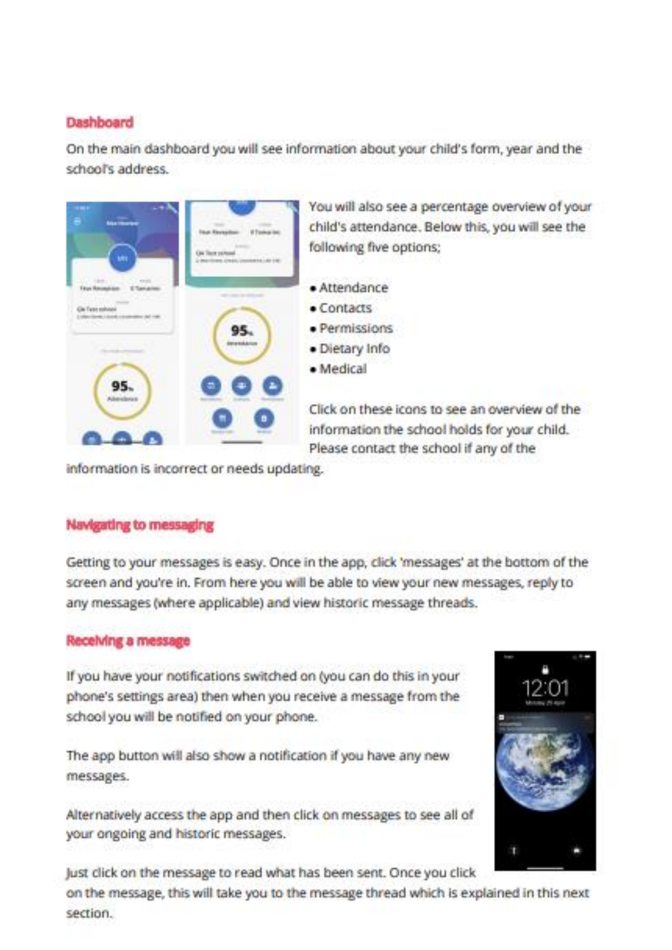### Dashboard

On the main dashboard you will see information about your child's form, year and the school's address.



You will also see a percentage overview of your child's attendance. Below this, you will see the following five options;

- · Attendance
- $•$  Contacts
- · Permissions
- · Dietary Info
- · Medical

Click on these icons to see an overview of the information the school holds for your child. Please contact the school if any of the

information is incorrect or needs updating.

# **Navigating to messaging**

Getting to your messages is easy. Once in the app, click 'messages' at the bottom of the screen and you're in. From here you will be able to view your new messages, reply to any messages (where applicable) and view historic message threads.

# Receiving a message

If you have your notifications switched on (you can do this in your phone's settings area) then when you receive a message from the school you will be notified on your phone.

The app button will also show a notification if you have any new messages.

Alternatively access the app and then click on messages to see all of your ongoing and historic messages.



Just click on the message to read what has been sent. Once you click

on the message, this will take you to the message thread which is explained in this next section